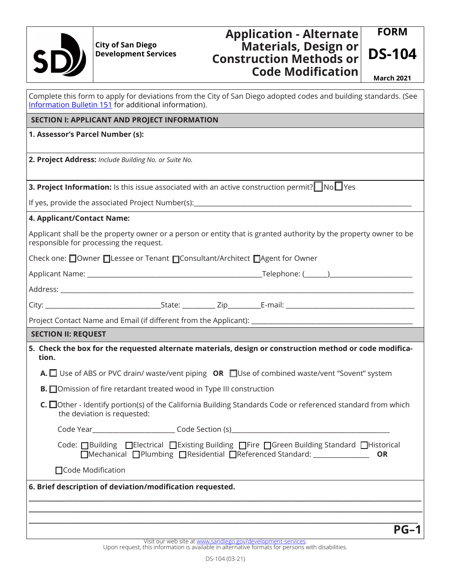

## **Development Services**

## **DS-104 City of San Diego Application - Alternate Materials, Design or Construction Methods or Code Modification** March 2021

**FORM**

| Complete this form to apply for deviations from the City of San Diego adopted codes and building standards. (See<br>Information Bulletin 151 for additional information). |
|---------------------------------------------------------------------------------------------------------------------------------------------------------------------------|
| <b>SECTION I: APPLICANT AND PROJECT INFORMATION</b>                                                                                                                       |
| 1. Assessor's Parcel Number (s):                                                                                                                                          |
| 2. Project Address: Include Building No. or Suite No.                                                                                                                     |
| <b>3. Project Information:</b> Is this issue associated with an active construction permit? $\Box$ No $\Box$ Yes                                                          |
|                                                                                                                                                                           |
| 4. Applicant/Contact Name:                                                                                                                                                |
| Applicant shall be the property owner or a person or entity that is granted authority by the property owner to be<br>responsible for processing the request.              |
| Check one: □Owner □Lessee or Tenant □Consultant/Architect □Agent for Owner                                                                                                |
|                                                                                                                                                                           |
|                                                                                                                                                                           |
|                                                                                                                                                                           |
|                                                                                                                                                                           |
| <b>SECTION II: REQUEST</b>                                                                                                                                                |
| 5. Check the box for the requested alternate materials, design or construction method or code modifica-<br>tion.                                                          |
| A. □ Use of ABS or PVC drain/ waste/vent piping OR □Use of combined waste/vent "Sovent" system                                                                            |
| <b>B.</b> Omission of fire retardant treated wood in Type III construction                                                                                                |
| C. □Other - Identify portion(s) of the California Building Standards Code or referenced standard from which<br>the deviation is requested:                                |
|                                                                                                                                                                           |
| Code: □Building □Electrical □Existing Building □Fire □Green Building Standard □Historical<br>□Mechanical □Plumbing □Residential □Referenced Standard:<br><b>OR</b>        |
| □ Code Modification                                                                                                                                                       |
| 6. Brief description of deviation/modification requested.                                                                                                                 |
|                                                                                                                                                                           |
|                                                                                                                                                                           |
| $PG-1$                                                                                                                                                                    |